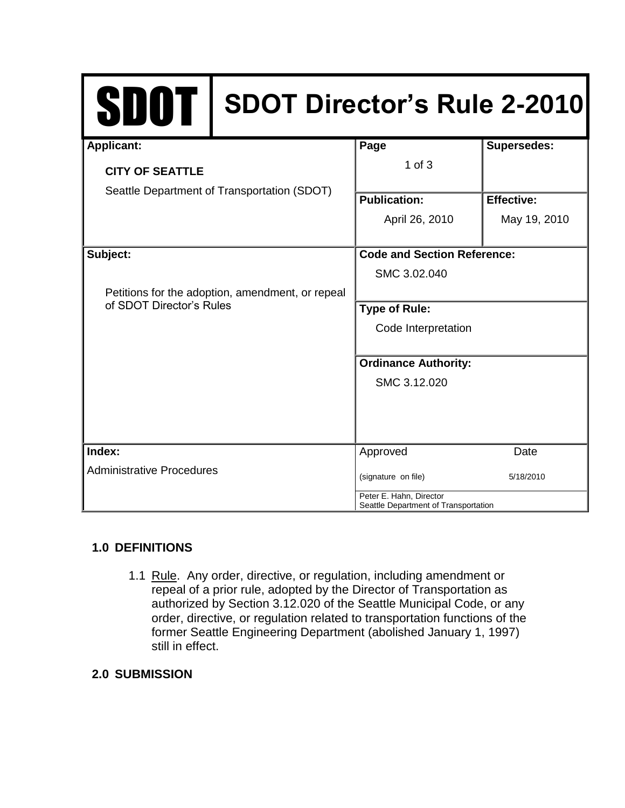| <b>SDOT</b>                                                                  | <b>SDOT Director's Rule 2-2010</b> |                                                                 |                    |
|------------------------------------------------------------------------------|------------------------------------|-----------------------------------------------------------------|--------------------|
| <b>Applicant:</b>                                                            |                                    | Page                                                            | <b>Supersedes:</b> |
| <b>CITY OF SEATTLE</b>                                                       |                                    | $1$ of $3$                                                      |                    |
| Seattle Department of Transportation (SDOT)                                  |                                    | <b>Publication:</b>                                             | <b>Effective:</b>  |
|                                                                              |                                    | April 26, 2010                                                  | May 19, 2010       |
| Subject:                                                                     |                                    | <b>Code and Section Reference:</b>                              |                    |
|                                                                              |                                    | SMC 3.02.040                                                    |                    |
| Petitions for the adoption, amendment, or repeal<br>of SDOT Director's Rules |                                    |                                                                 |                    |
|                                                                              |                                    | <b>Type of Rule:</b>                                            |                    |
|                                                                              |                                    | Code Interpretation                                             |                    |
|                                                                              |                                    |                                                                 |                    |
|                                                                              |                                    | <b>Ordinance Authority:</b>                                     |                    |
|                                                                              |                                    | SMC 3.12.020                                                    |                    |
|                                                                              |                                    |                                                                 |                    |
| Index:                                                                       |                                    | Approved                                                        | Date               |
| <b>Administrative Procedures</b>                                             |                                    | (signature on file)                                             | 5/18/2010          |
|                                                                              |                                    | Peter E. Hahn, Director<br>Seattle Department of Transportation |                    |

# **1.0 DEFINITIONS**

1.1 Rule. Any order, directive, or regulation, including amendment or repeal of a prior rule, adopted by the Director of Transportation as authorized by Section 3.12.020 of the Seattle Municipal Code, or any order, directive, or regulation related to transportation functions of the former Seattle Engineering Department (abolished January 1, 1997) still in effect.

# **2.0 SUBMISSION**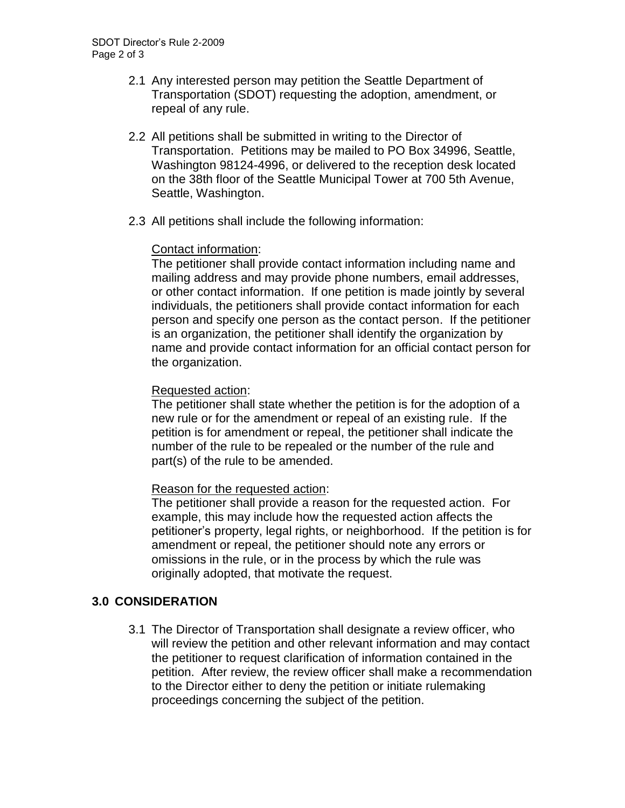- 2.1 Any interested person may petition the Seattle Department of Transportation (SDOT) requesting the adoption, amendment, or repeal of any rule.
- 2.2 All petitions shall be submitted in writing to the Director of Transportation. Petitions may be mailed to PO Box 34996, Seattle, Washington 98124-4996, or delivered to the reception desk located on the 38th floor of the Seattle Municipal Tower at 700 5th Avenue, Seattle, Washington.
- 2.3 All petitions shall include the following information:

#### Contact information:

The petitioner shall provide contact information including name and mailing address and may provide phone numbers, email addresses, or other contact information. If one petition is made jointly by several individuals, the petitioners shall provide contact information for each person and specify one person as the contact person. If the petitioner is an organization, the petitioner shall identify the organization by name and provide contact information for an official contact person for the organization.

#### Requested action:

The petitioner shall state whether the petition is for the adoption of a new rule or for the amendment or repeal of an existing rule. If the petition is for amendment or repeal, the petitioner shall indicate the number of the rule to be repealed or the number of the rule and part(s) of the rule to be amended.

## Reason for the requested action:

The petitioner shall provide a reason for the requested action. For example, this may include how the requested action affects the petitioner's property, legal rights, or neighborhood. If the petition is for amendment or repeal, the petitioner should note any errors or omissions in the rule, or in the process by which the rule was originally adopted, that motivate the request.

## **3.0 CONSIDERATION**

3.1 The Director of Transportation shall designate a review officer, who will review the petition and other relevant information and may contact the petitioner to request clarification of information contained in the petition. After review, the review officer shall make a recommendation to the Director either to deny the petition or initiate rulemaking proceedings concerning the subject of the petition.